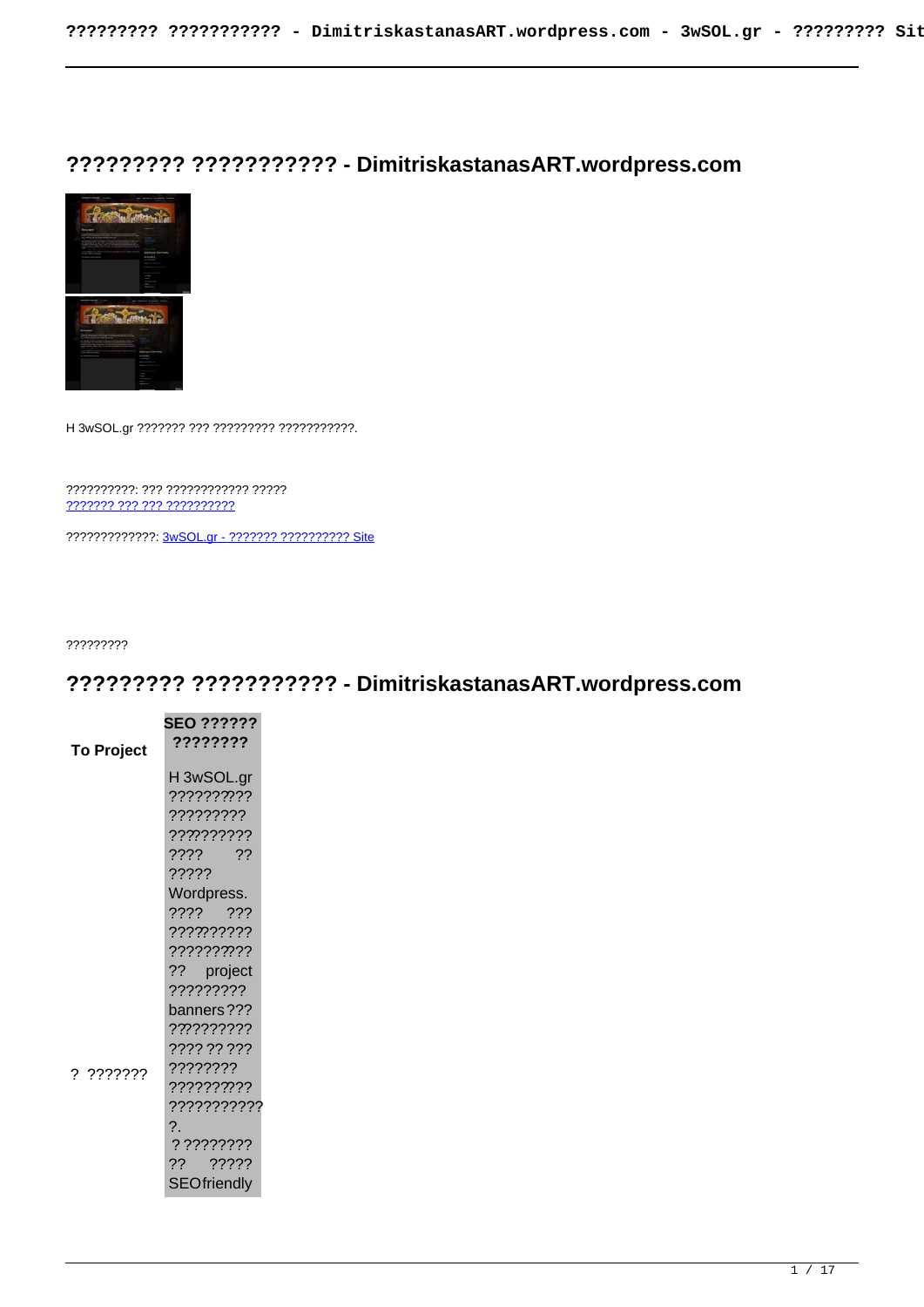## **????????? ??????????? - DimitriskastanasART.wordpress.com**



H 3wSOL.gr ??????? ??? ????????? ???????????.

## ??????????: ??? ???????????? ????? [??????? ??? ??? ??????????](https://kataskevi-eshop.3wsol.gr/index.php?option=com_virtuemart&view=productdetails&task=askquestion&virtuemart_product_id=33&virtuemart_category_id=1&tmpl=component)

?????????????: [3wSOL.gr - ??????? ?????????? Site](https://kataskevi-eshop.3wsol.gr/index.php?option=com_virtuemart&view=manufacturer&virtuemart_manufacturer_id=1&tmpl=component)

?????????

## **????????? ??????????? - DimitriskastanasART.wordpress.com**

| <b>SEO</b> ?????? |                    |  |  |  |
|-------------------|--------------------|--|--|--|
| <b>To Project</b> | ????????           |  |  |  |
|                   |                    |  |  |  |
|                   | H 3wSOL.gr         |  |  |  |
|                   | ??????????         |  |  |  |
|                   | 777777777          |  |  |  |
|                   | ?????????          |  |  |  |
|                   | ????<br>??         |  |  |  |
|                   | 77777              |  |  |  |
|                   | Wordpress.         |  |  |  |
|                   | ????<br>- 777      |  |  |  |
|                   | 777777777          |  |  |  |
|                   | 777777777          |  |  |  |
|                   | ?? project         |  |  |  |
|                   | 777777777          |  |  |  |
|                   | banners???         |  |  |  |
|                   | 777777777          |  |  |  |
|                   | 7777 77 777        |  |  |  |
|                   | 77777777           |  |  |  |
| ? ???????         | 777777777          |  |  |  |
|                   | 77777777777        |  |  |  |
|                   |                    |  |  |  |
|                   | ?.                 |  |  |  |
|                   | ? ????????         |  |  |  |
|                   | ?????<br>າາ        |  |  |  |
|                   | <b>SEOfriendly</b> |  |  |  |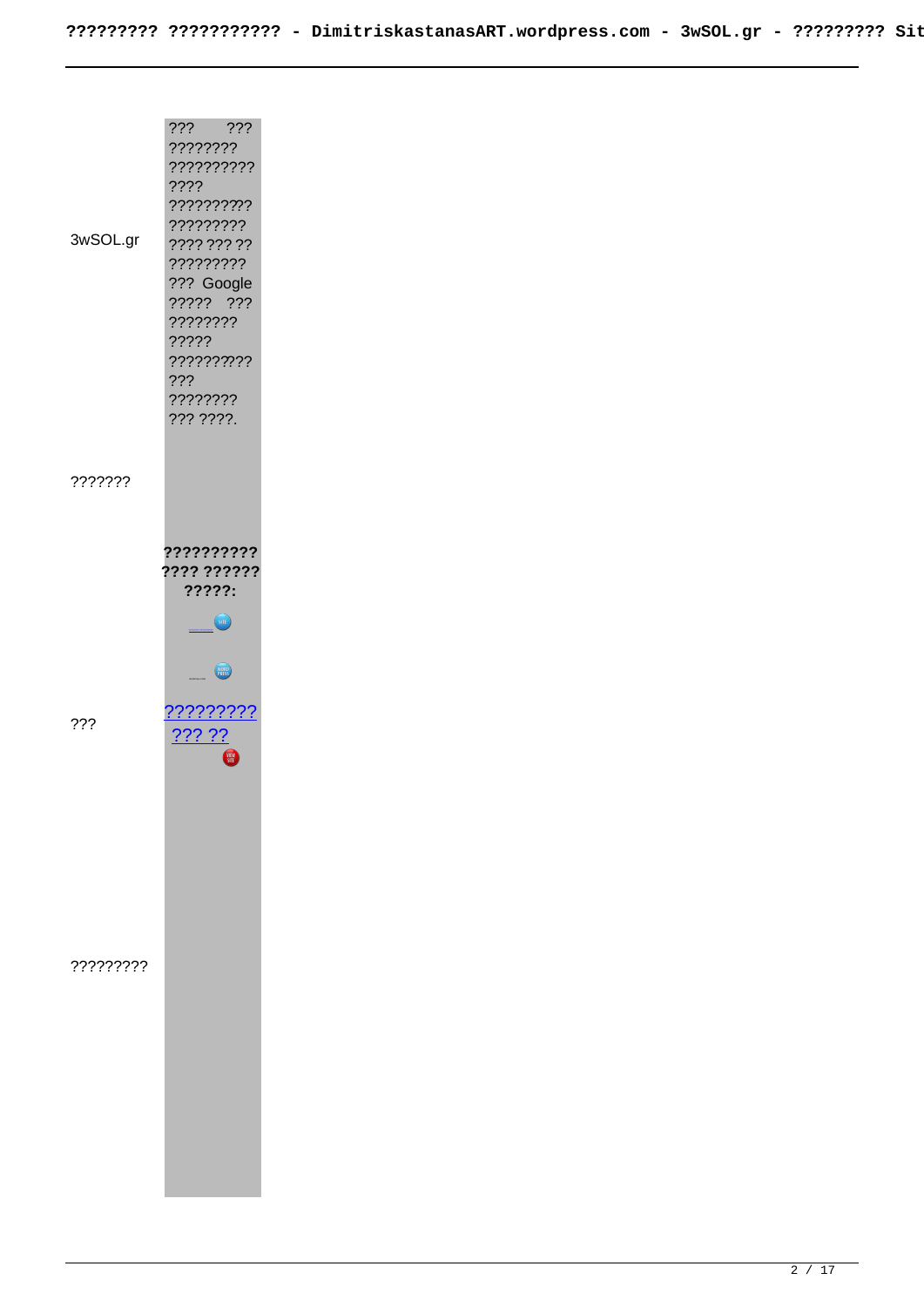| 3wSOL.gr  | ???<br>???<br>????????<br>??????????<br>????<br>??????????<br>?????????<br>???? ??? ??<br>?????????<br>??? Google<br>????? ???<br>????????<br>?????<br>??????????<br>$?$ ??<br>???????? |  |
|-----------|-----------------------------------------------------------------------------------------------------------------------------------------------------------------------------------------|--|
| ???????   | ??? ????.<br>??????????<br>???? ??????<br>?????:                                                                                                                                        |  |
| ???       | SITE<br>WORD<br>PRESS<br><u>?????????</u><br>??? ??<br>VIEW<br>SITE                                                                                                                     |  |
| ????????? |                                                                                                                                                                                         |  |
|           |                                                                                                                                                                                         |  |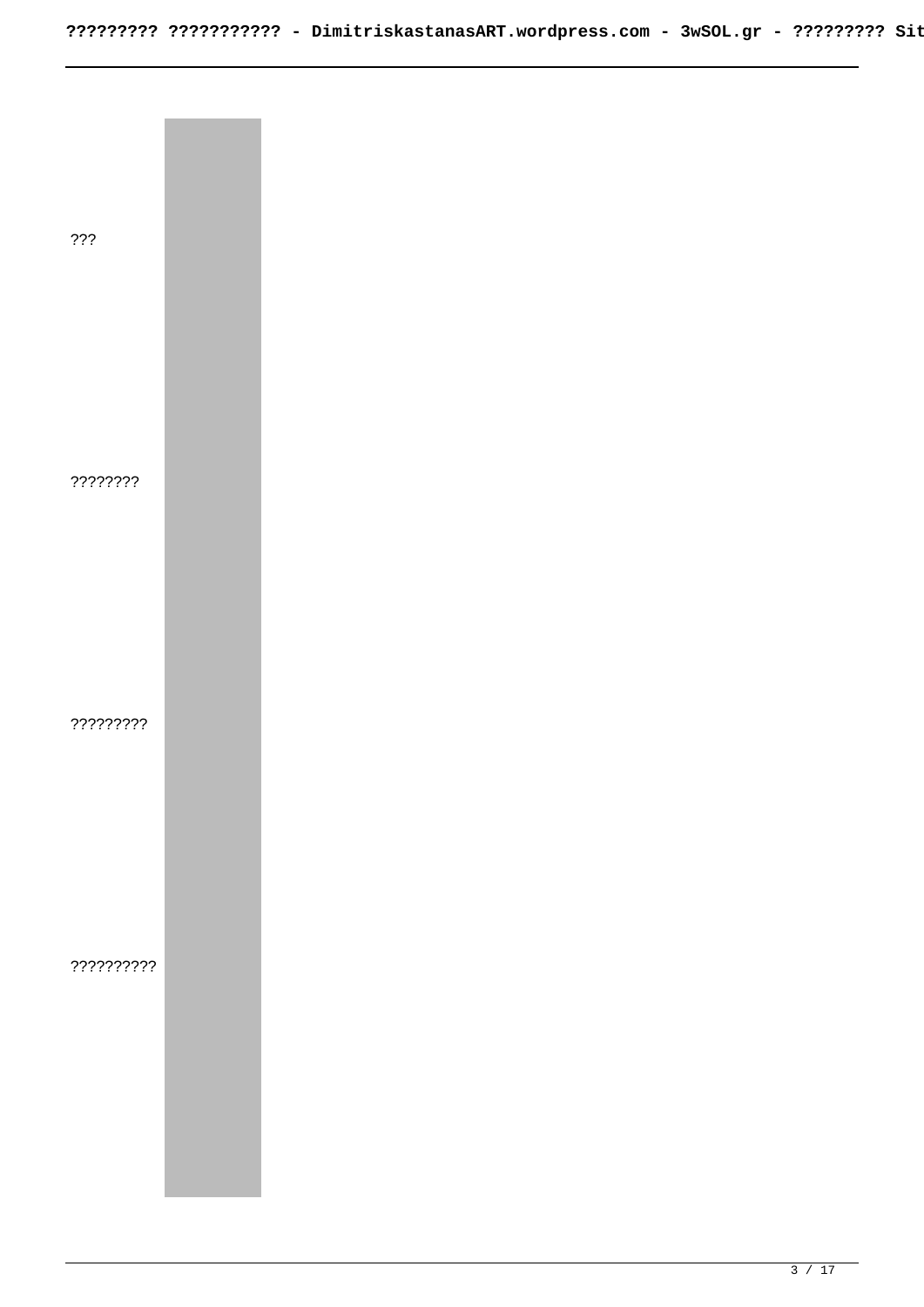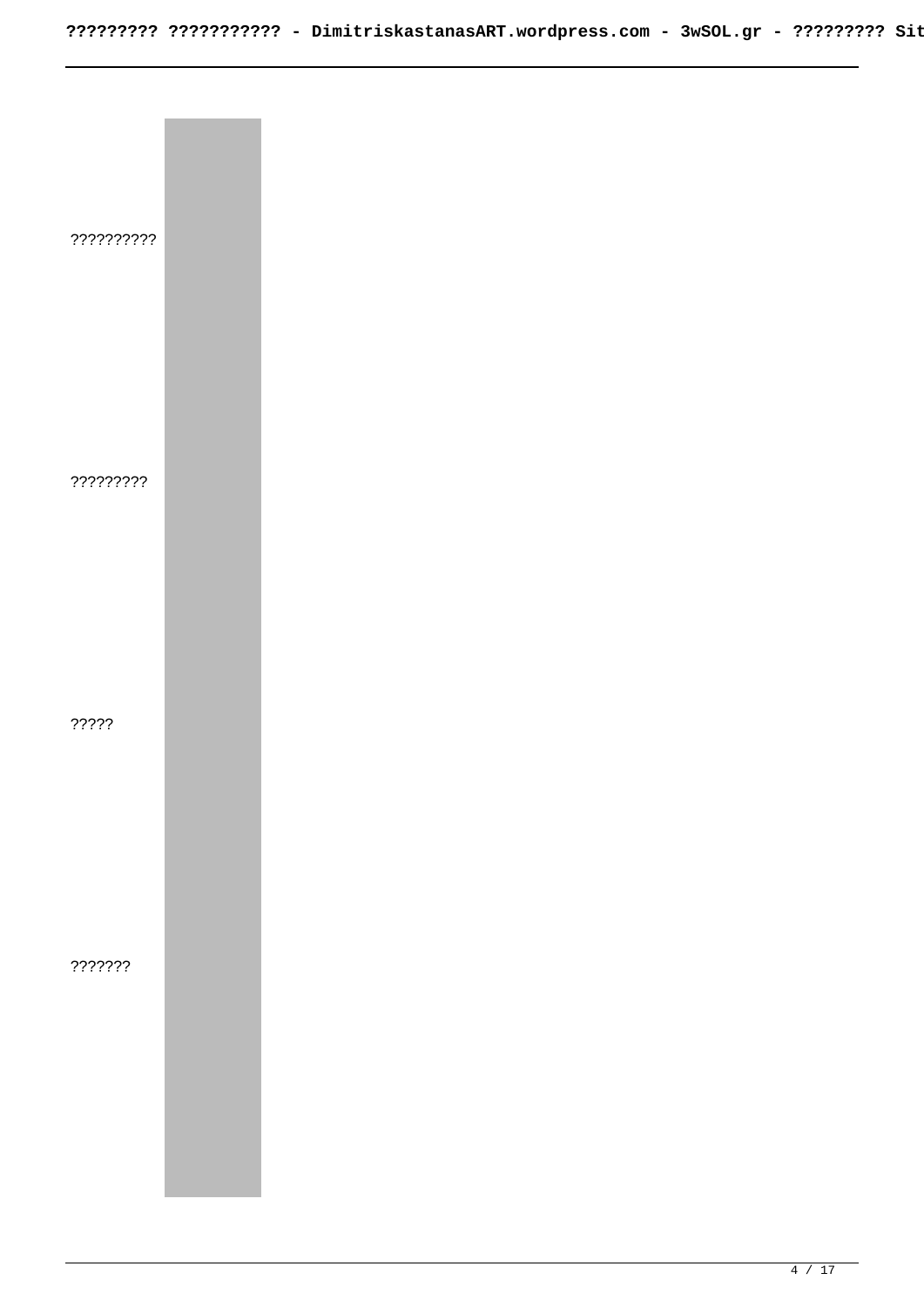| ?????????? |  |  |  |  |
|------------|--|--|--|--|
| ?????????  |  |  |  |  |
| ?????      |  |  |  |  |
| ???????    |  |  |  |  |
|            |  |  |  |  |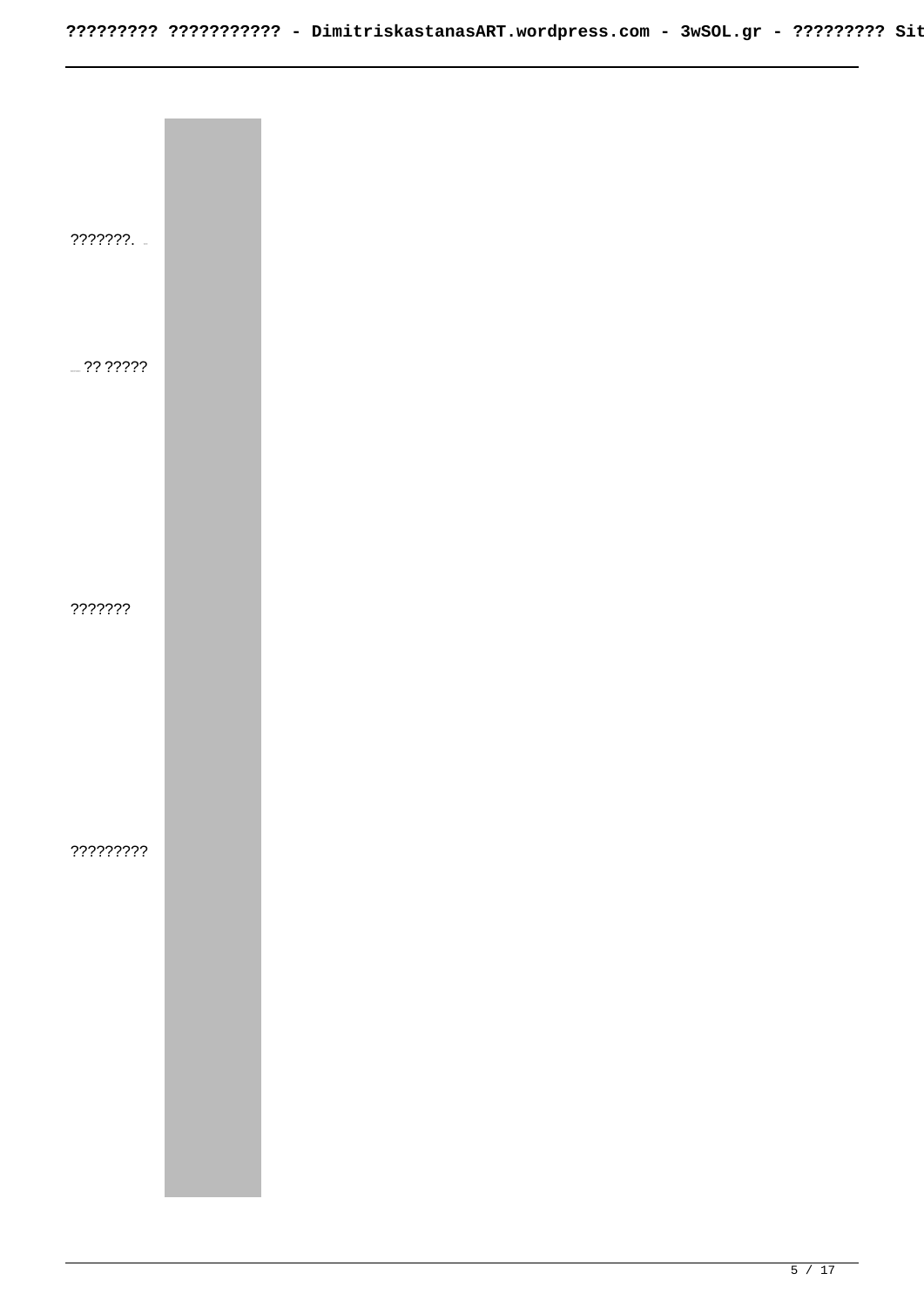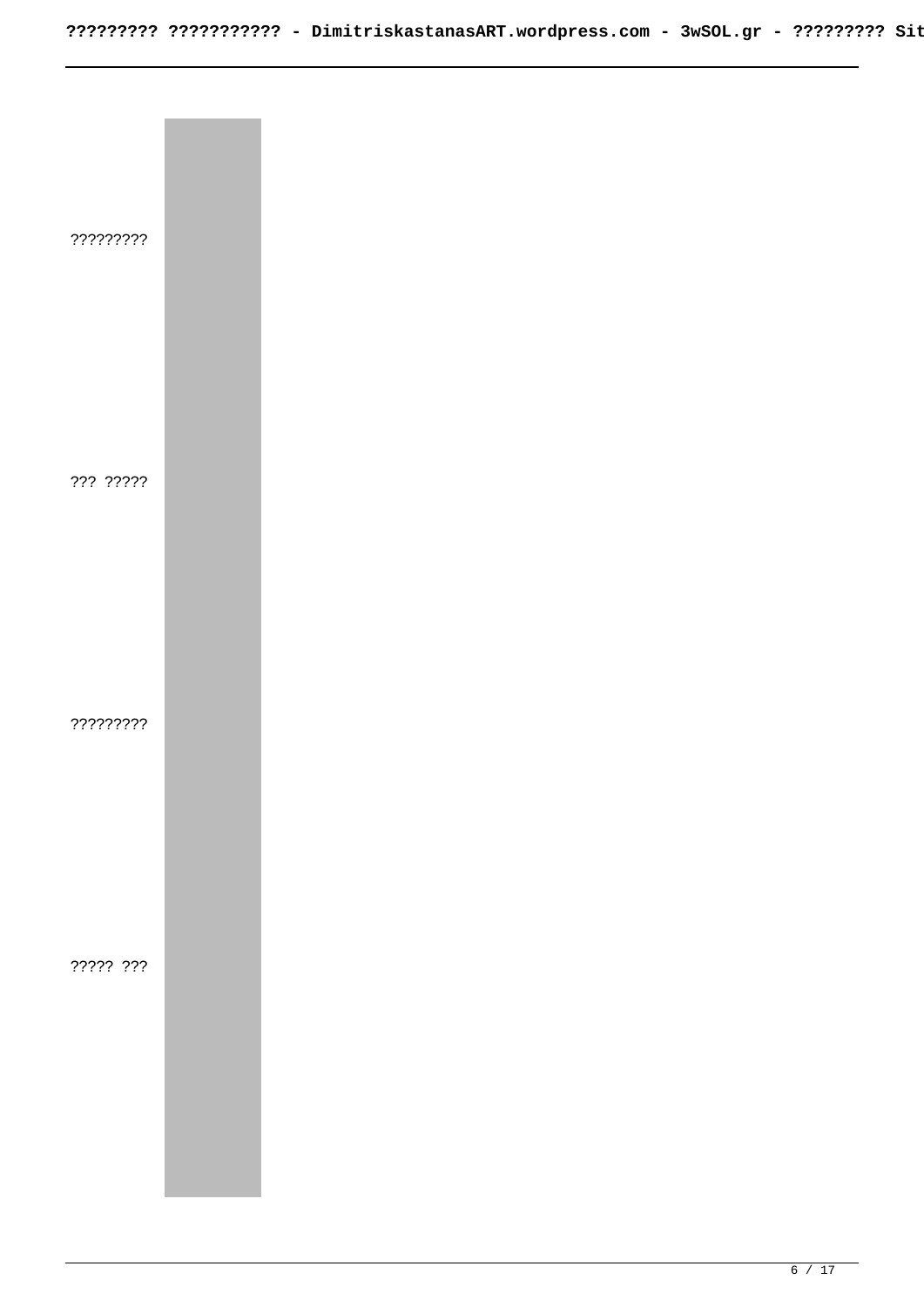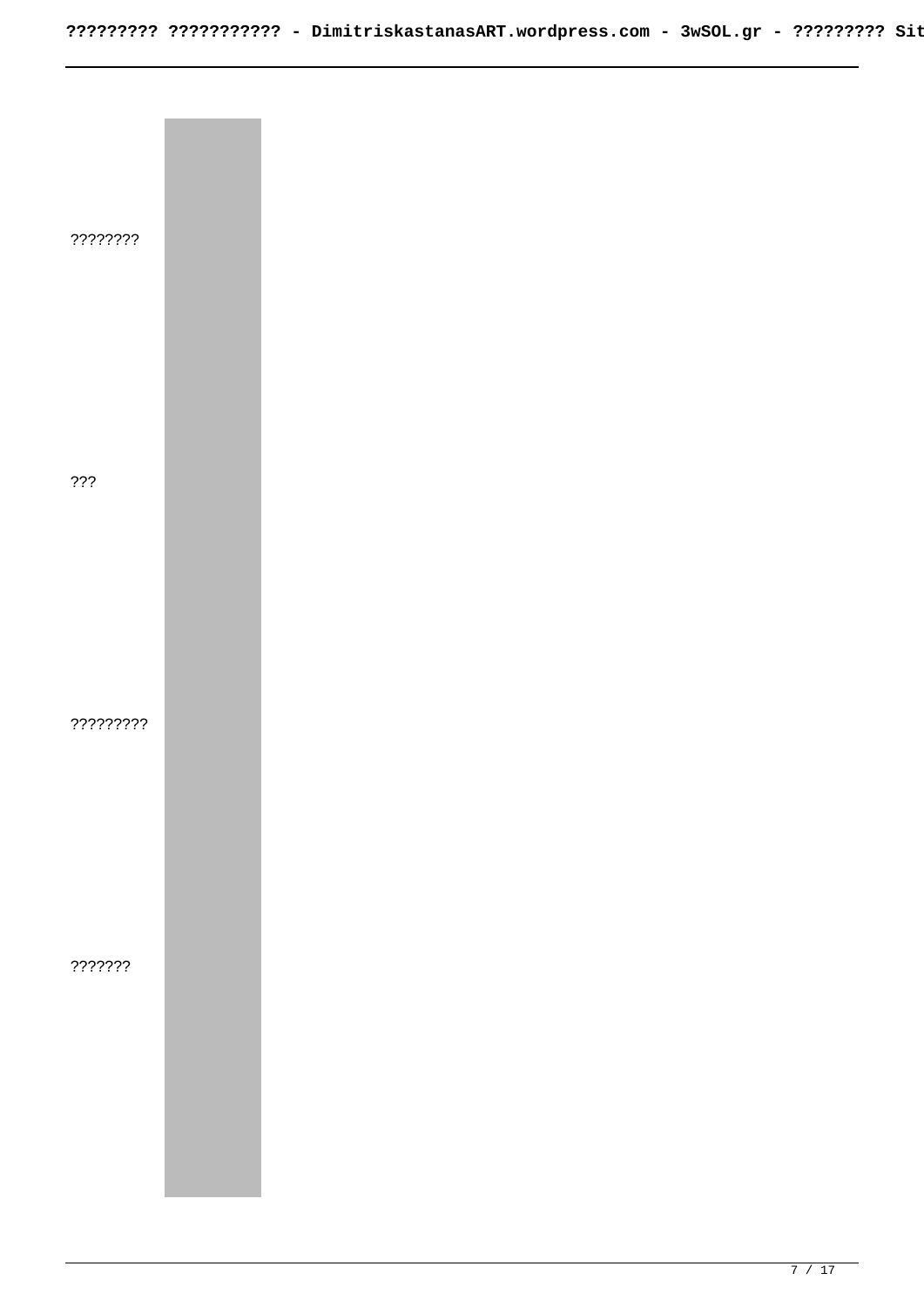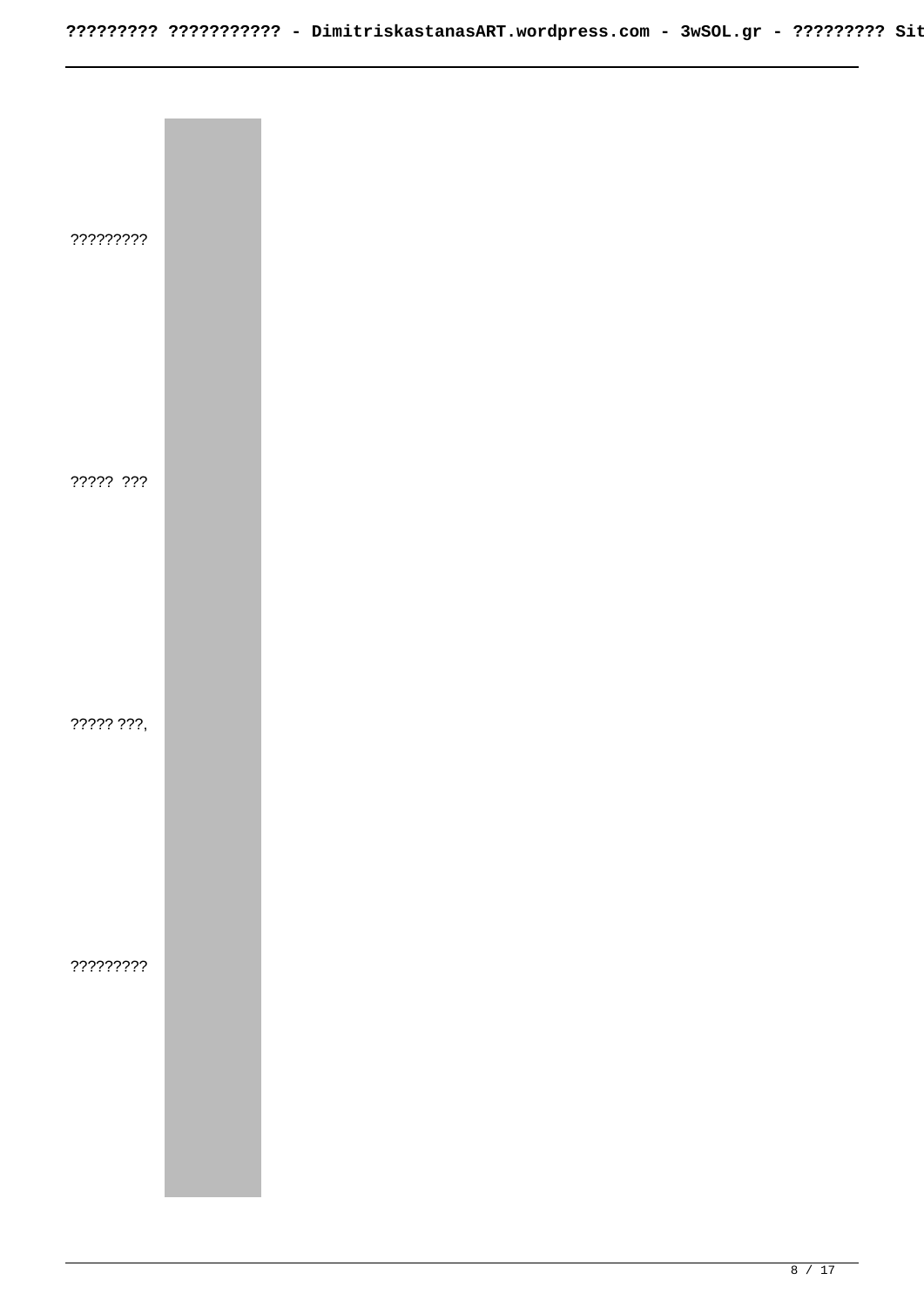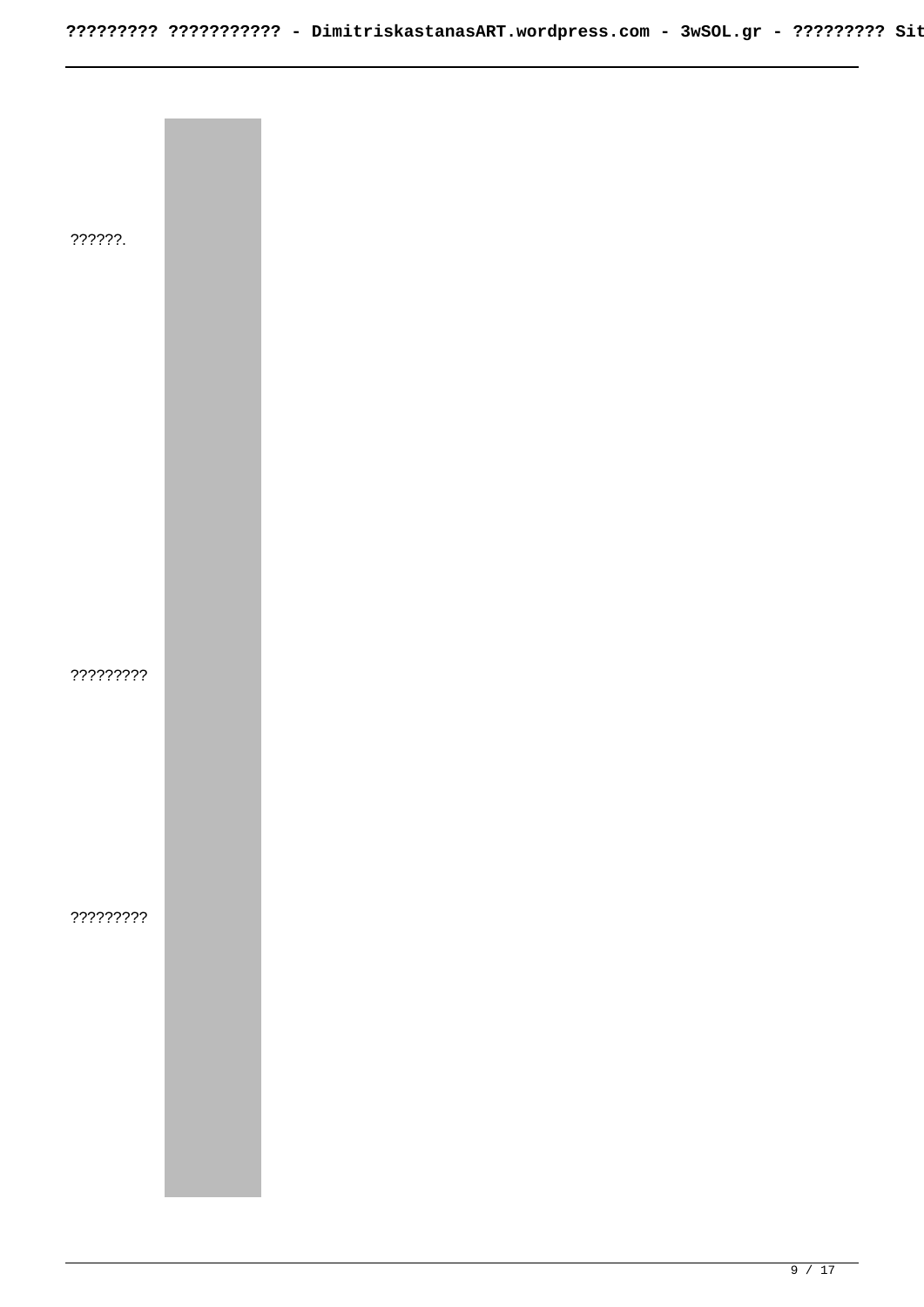| ??????.   |  |  |
|-----------|--|--|
|           |  |  |
|           |  |  |
|           |  |  |
|           |  |  |
| ????????? |  |  |
|           |  |  |
|           |  |  |
| ????????? |  |  |
|           |  |  |
|           |  |  |
|           |  |  |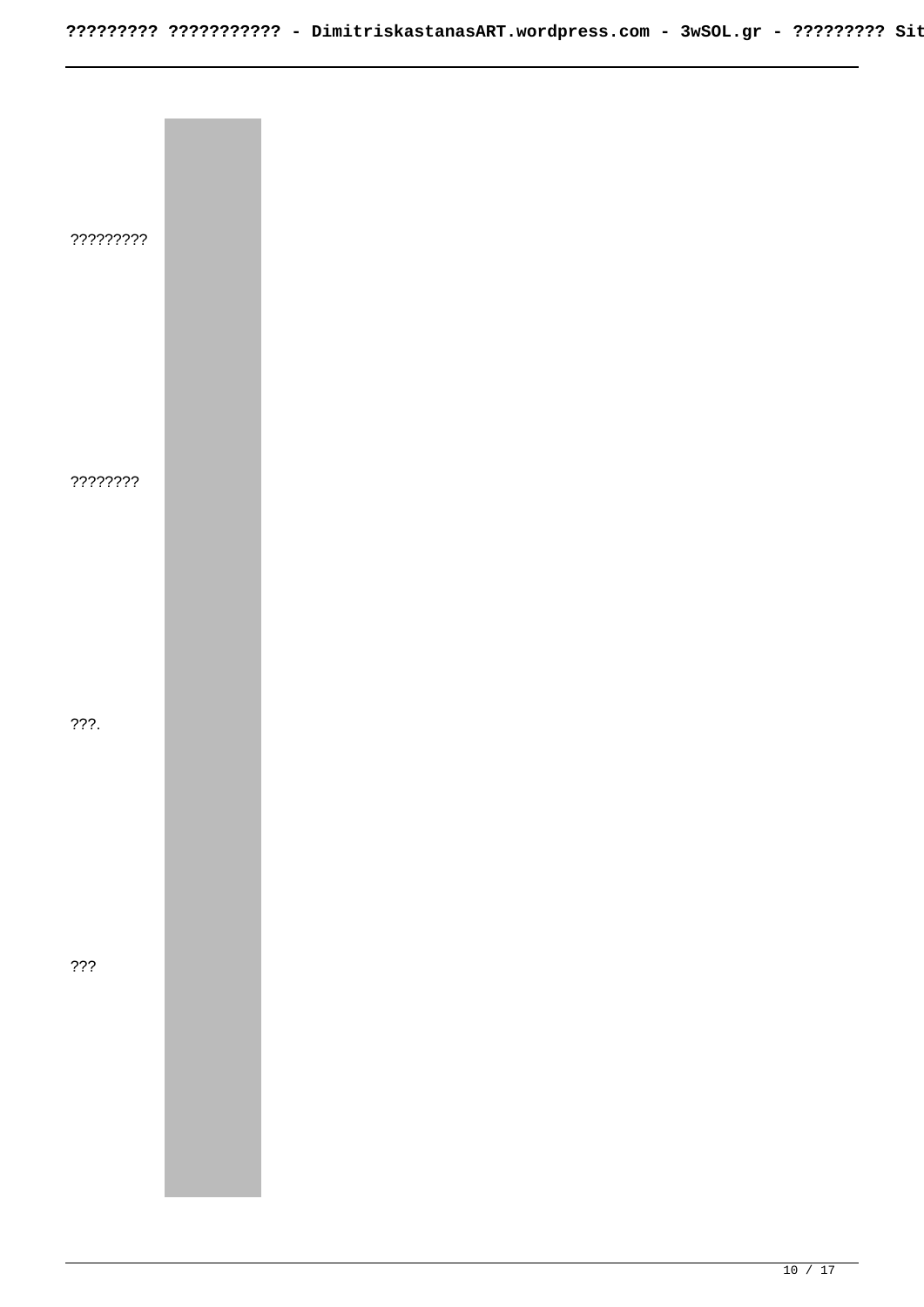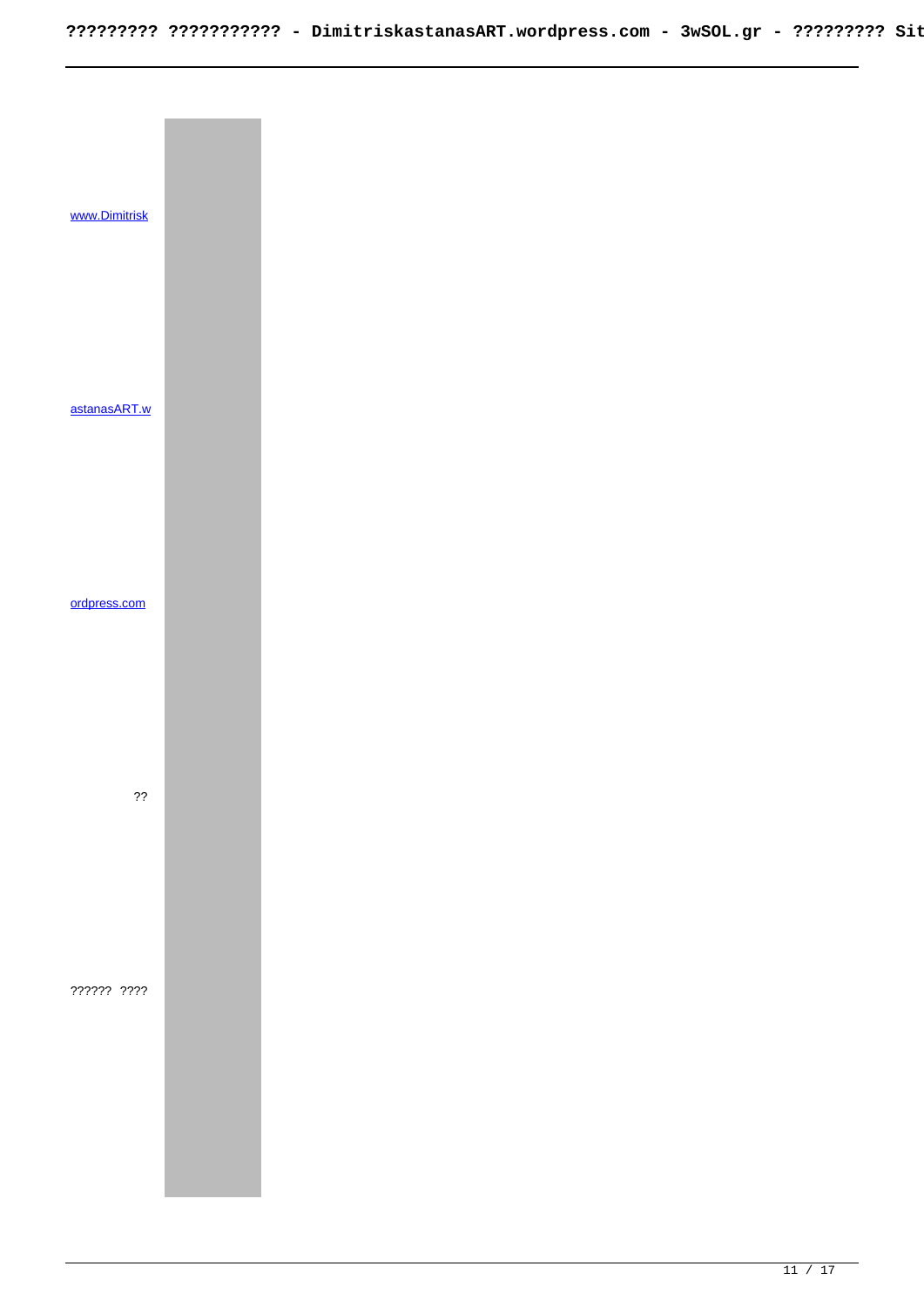| www.Dimitrisk |  |  |  |  |
|---------------|--|--|--|--|
| astanasART.w  |  |  |  |  |
| ordpress.com  |  |  |  |  |
| $??$          |  |  |  |  |
| ?????? ????   |  |  |  |  |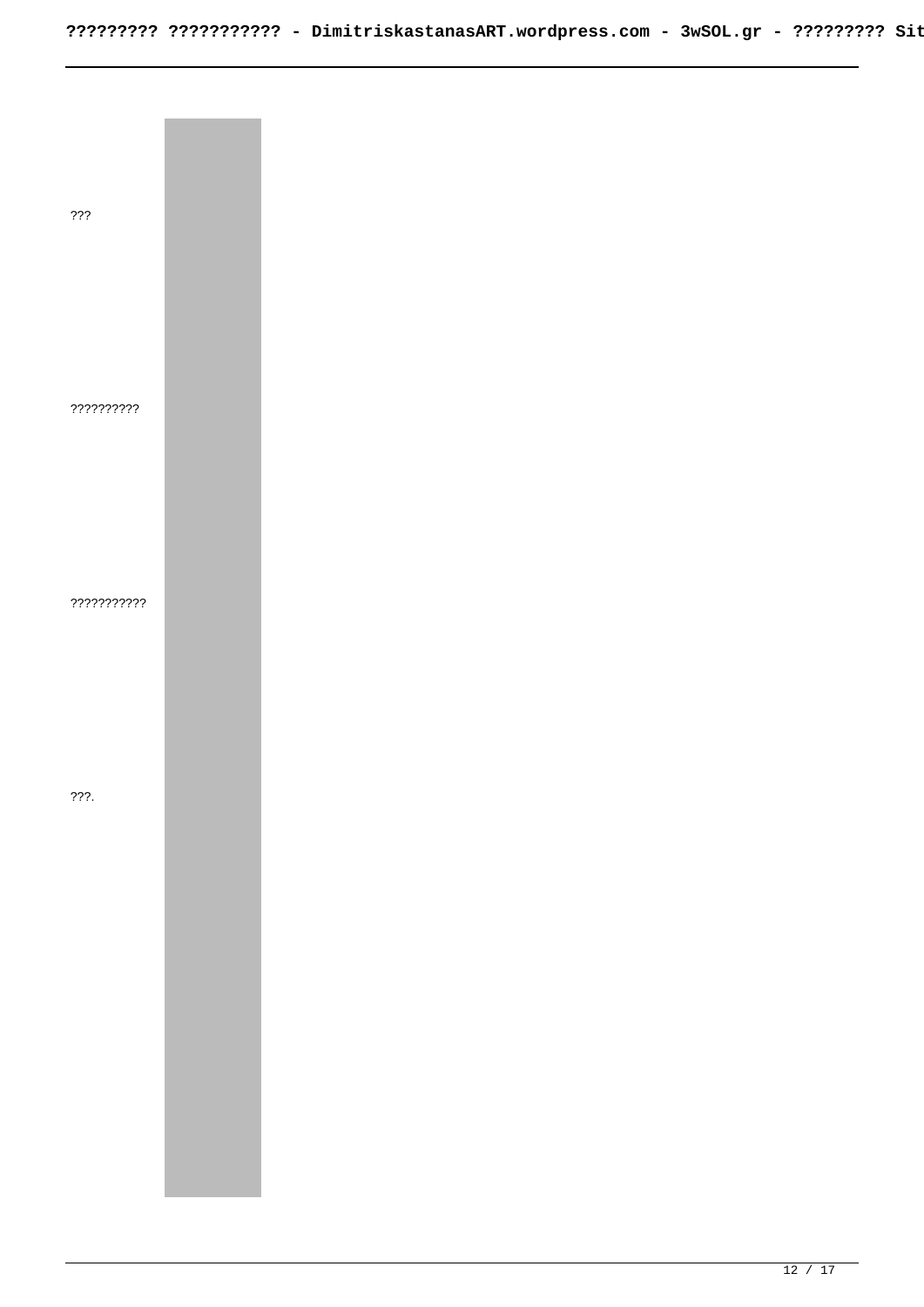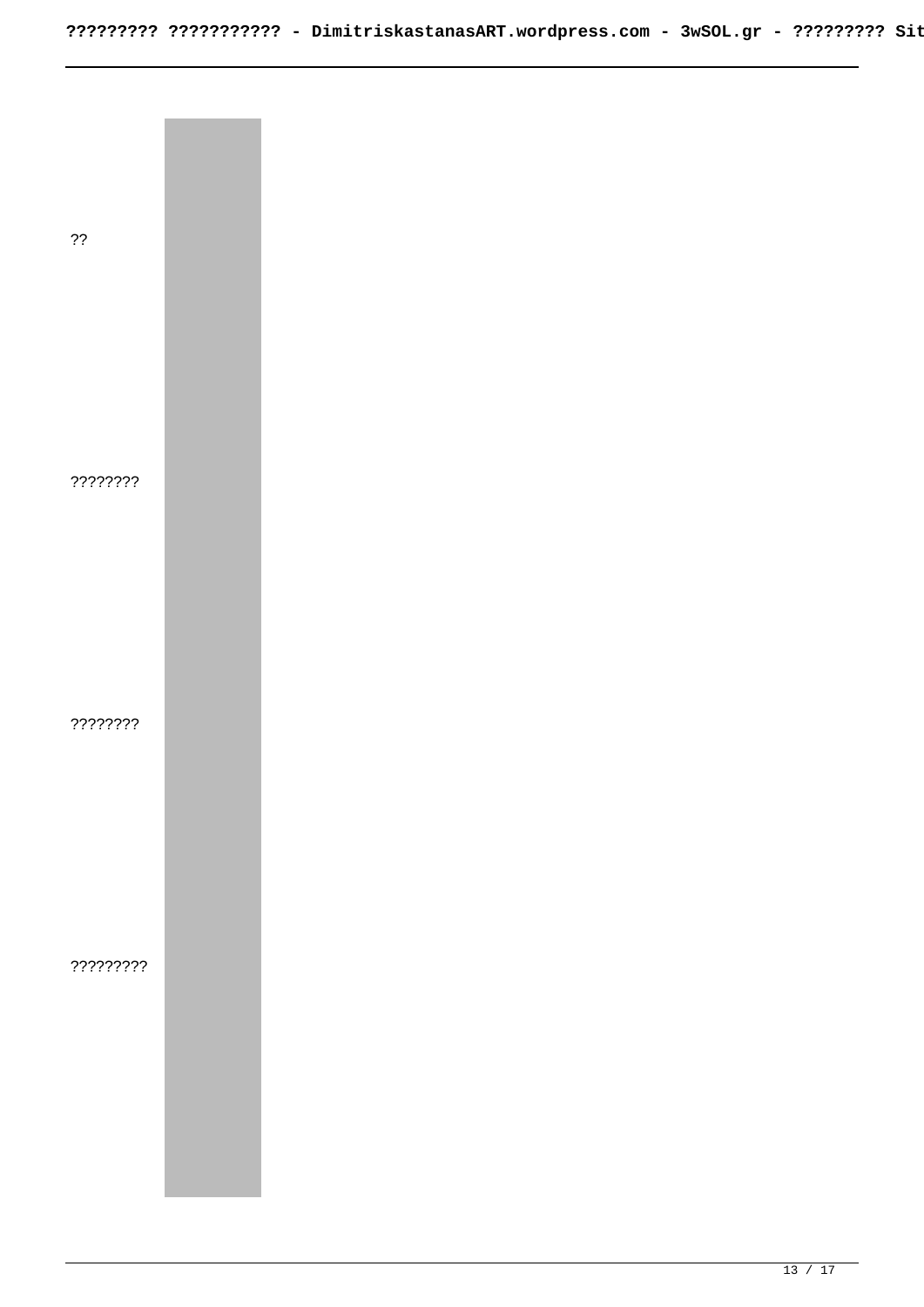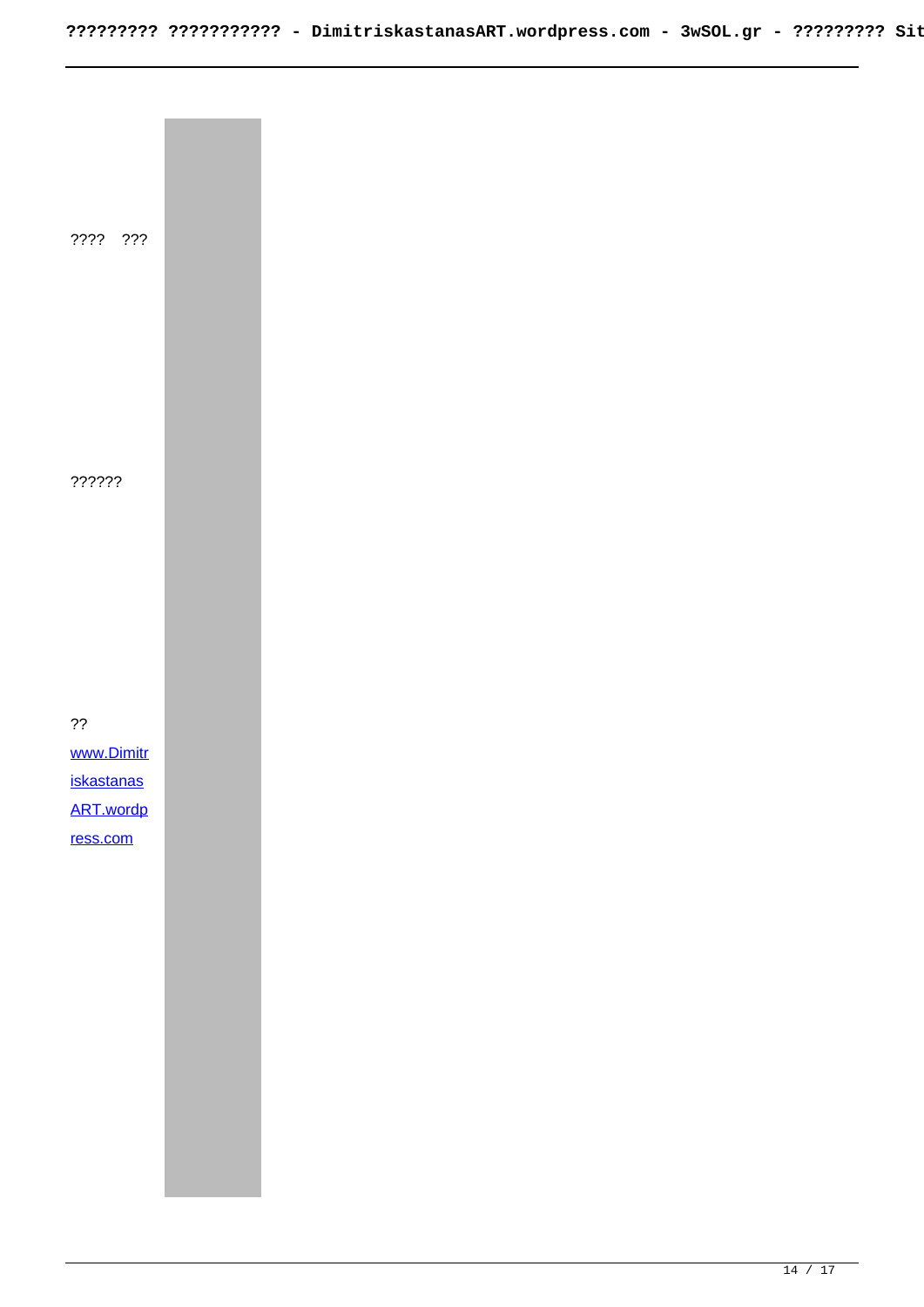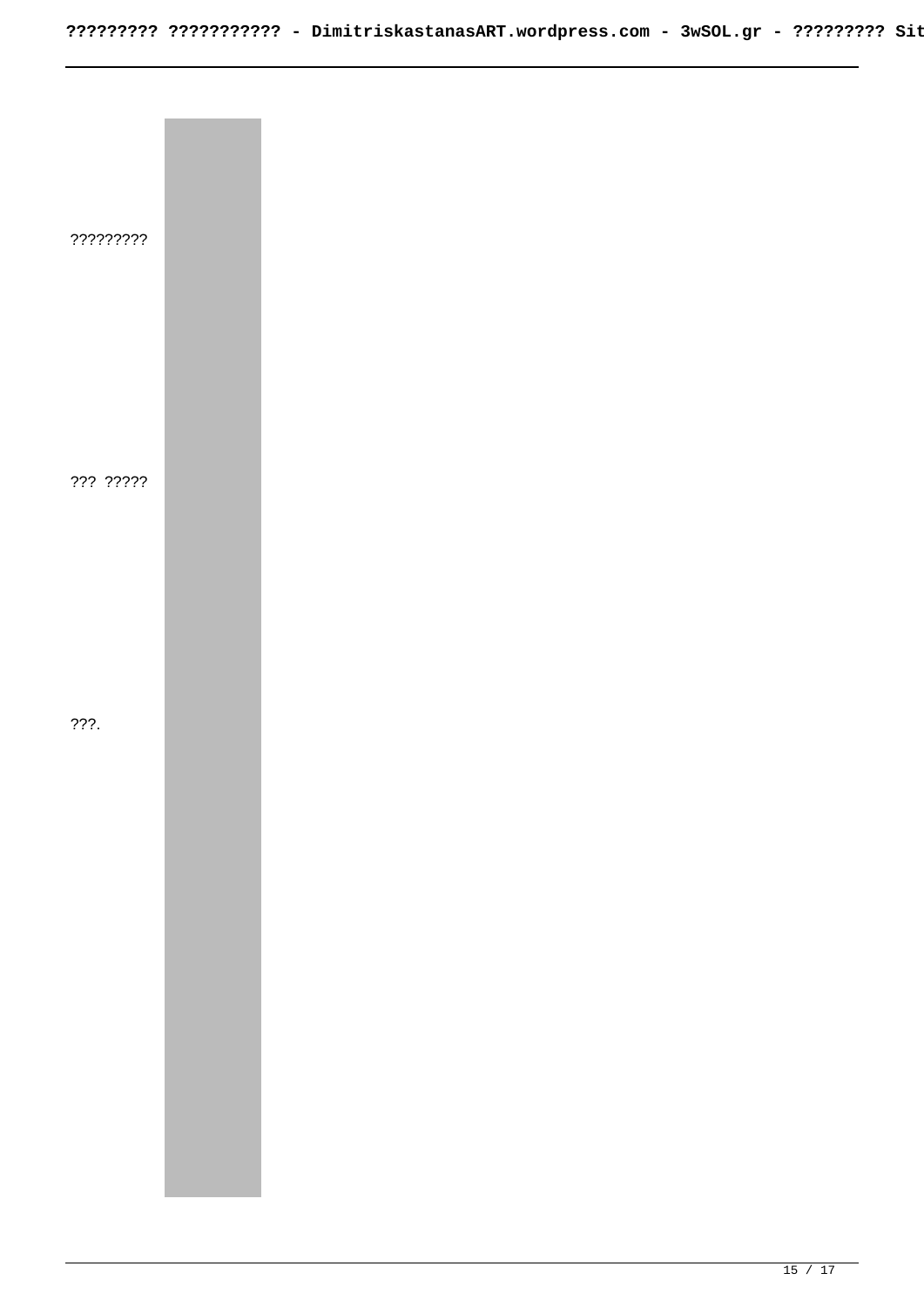?????? ??? ??? ????? ???.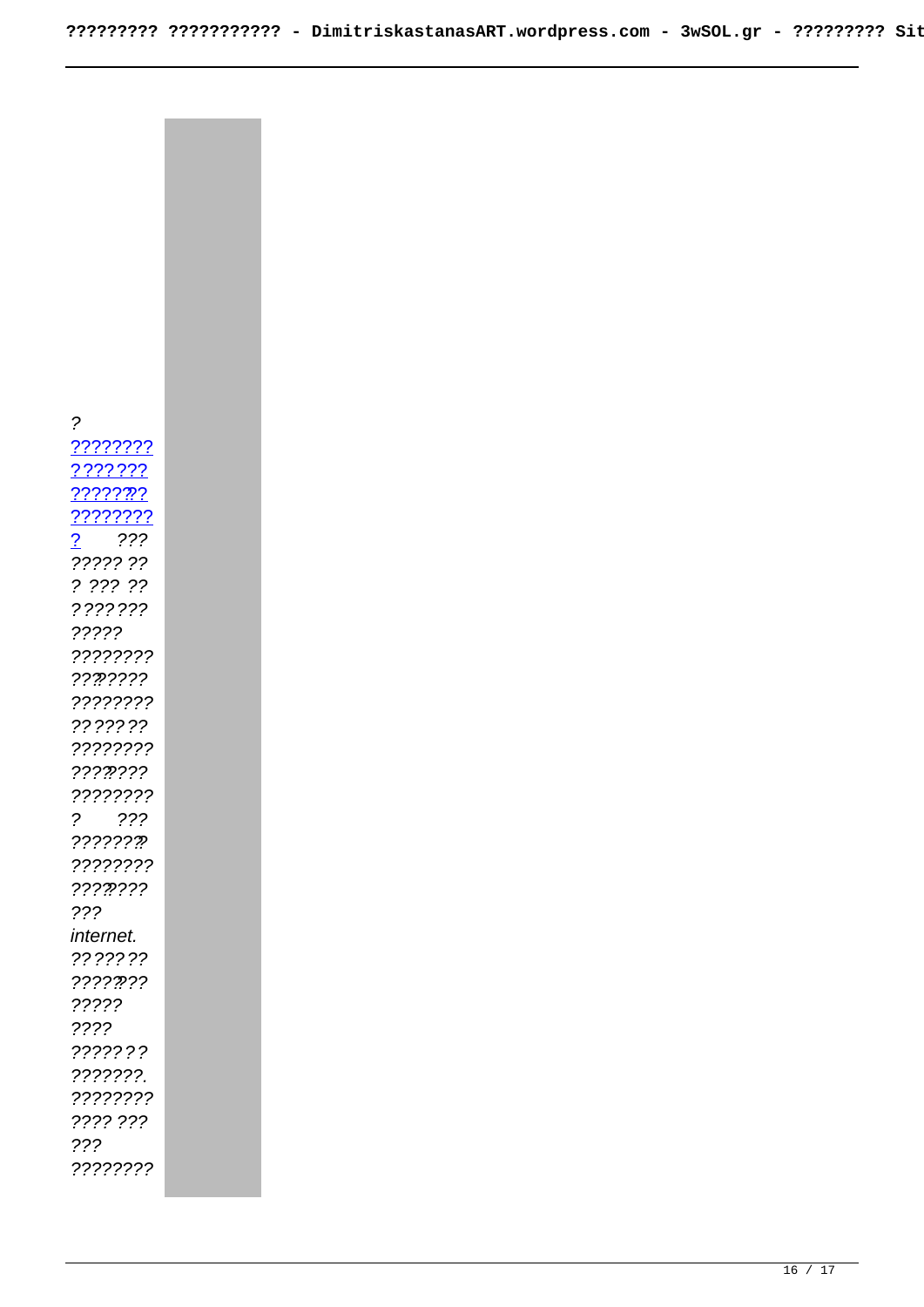$\tilde{z}$ ???????? ???????  $????????$ ????????  $\overline{2}$ ??? ????? ??  $? ? ? ? ? ?$ ??????? ????? ???????? ??????? ???????? ??????? ????????  $???????$ ????????  $? 722$  $???????$ ???????? ???????  $222$ internet. ??????? ??????? ????? ???? ??????? ???????. ???????? ???? ???  $222$ ????????